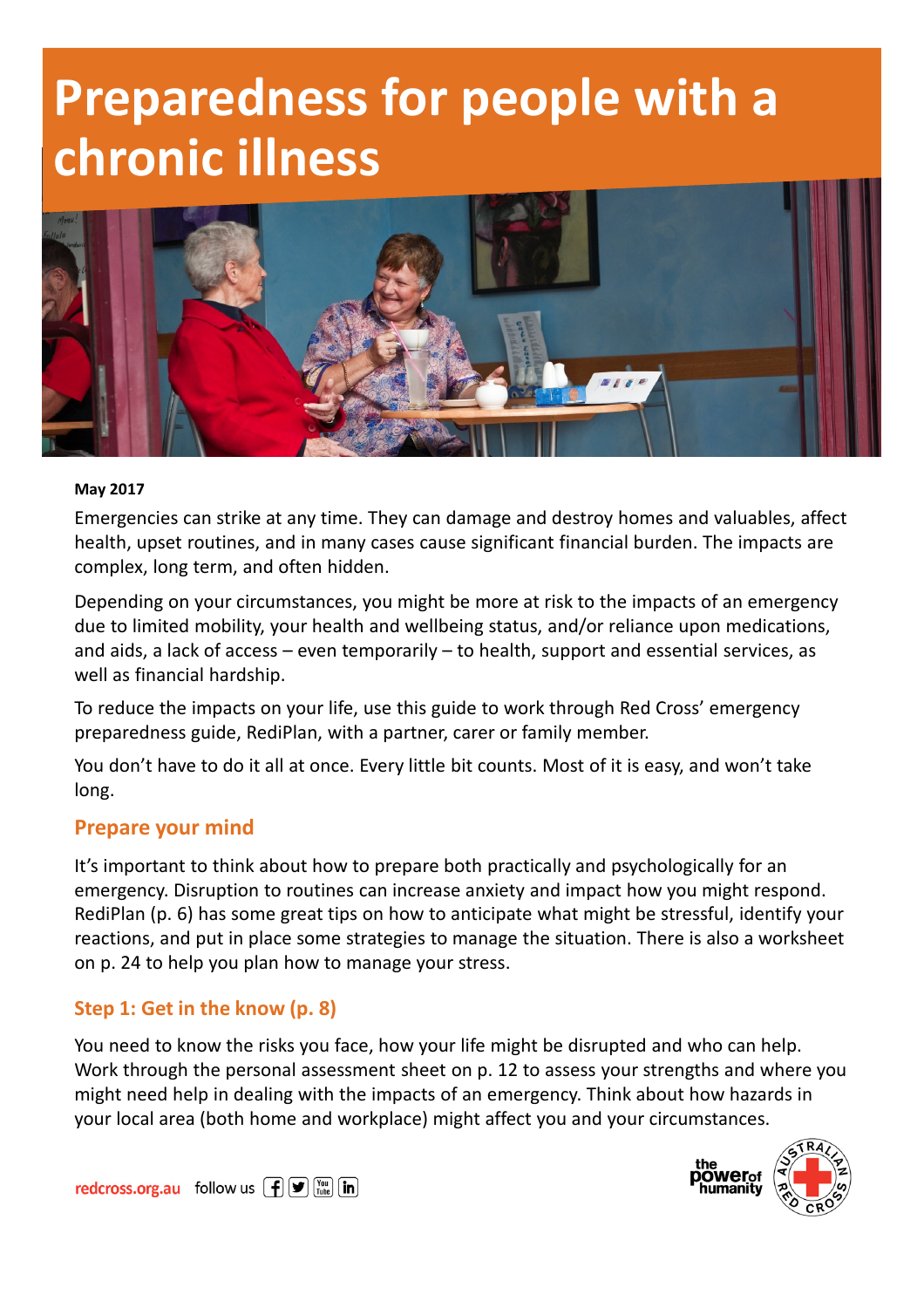# Preparedness for people with a chronic illness



#### May 2017

Emergencies can strike at any time. They can damage and destroy homes and valuables, affect health, upset routines, and in many cases cause significant financial burden. The impacts are complex, long term, and often hidden.

Depending on your circumstances, you might be more at risk to the impacts of an emergency due to limited mobility, your health and wellbeing status, and/or reliance upon medications, and aids, a lack of access – even temporarily – to health, support and essential services, as well as financial hardship.

To reduce the impacts on your life, use this guide to work through Red Cross' emergency preparedness guide, RediPlan, with a partner, carer or family member.

You don't have to do it all at once. Every little bit counts. Most of it is easy, and won't take long.

#### Prepare your mind

It's important to think about how to prepare both practically and psychologically for an emergency. Disruption to routines can increase anxiety and impact how you might respond. RediPlan (p. 6) has some great tips on how to anticipate what might be stressful, identify your reactions, and put in place some strategies to manage the situation. There is also a worksheet on p. 24 to help you plan how to manage your stress.

#### Step 1: Get in the know (p. 8)

You need to know the risks you face, how your life might be disrupted and who can help. Work through the personal assessment sheet on p. 12 to assess your strengths and where you might need help in dealing with the impacts of an emergency. Think about how hazards in your local area (both home and workplace) might affect you and your circumstances.